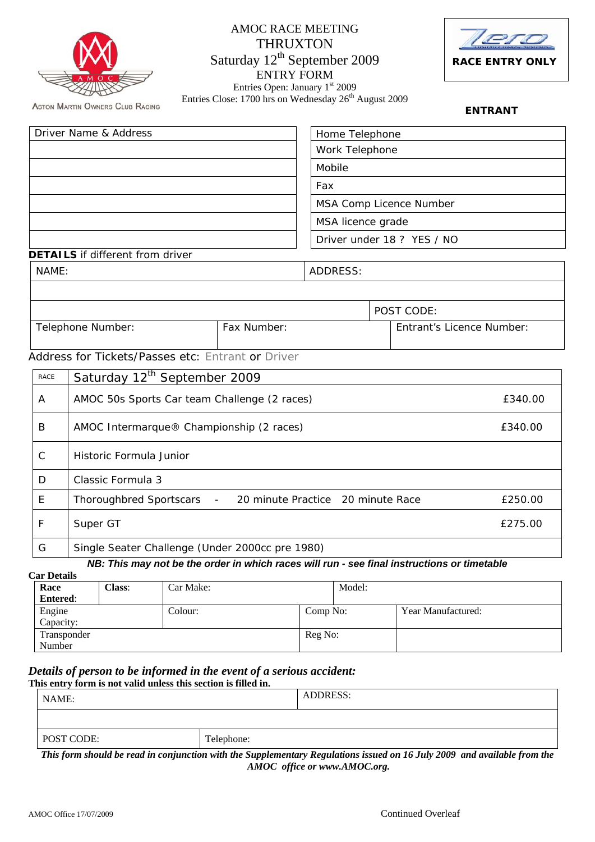|                                  |                                                   | <b>AMOC RACE MEETING</b><br><b>THRUXTON</b><br>Saturday 12 <sup>th</sup> September 2009<br><b>ENTRY FORM</b> |                                   |                            | <b>RACE ENTRY ONLY</b>    |  |
|----------------------------------|---------------------------------------------------|--------------------------------------------------------------------------------------------------------------|-----------------------------------|----------------------------|---------------------------|--|
|                                  | <b>ASTON MARTIN OWNERS CLUB RACING</b>            | Entries Open: January 1st 2009<br>Entries Close: 1700 hrs on Wednesday 26 <sup>th</sup> August 2009          |                                   |                            | <b>ENTRANT</b>            |  |
|                                  | Driver Name & Address                             |                                                                                                              | Home Telephone                    |                            |                           |  |
|                                  |                                                   |                                                                                                              | Work Telephone                    |                            |                           |  |
|                                  |                                                   |                                                                                                              | Mobile                            |                            |                           |  |
|                                  |                                                   |                                                                                                              | Fax                               |                            |                           |  |
|                                  |                                                   |                                                                                                              |                                   | MSA Comp Licence Number    |                           |  |
|                                  |                                                   |                                                                                                              | MSA licence grade                 |                            |                           |  |
|                                  |                                                   |                                                                                                              |                                   | Driver under 18 ? YES / NO |                           |  |
| NAME:                            | <b>DETAILS</b> if different from driver           |                                                                                                              | <b>ADDRESS:</b>                   |                            |                           |  |
|                                  |                                                   |                                                                                                              |                                   |                            |                           |  |
|                                  |                                                   |                                                                                                              |                                   | POST CODE:                 |                           |  |
| Fax Number:<br>Telephone Number: |                                                   |                                                                                                              |                                   |                            | Entrant's Licence Number: |  |
|                                  | Address for Tickets/Passes etc: Entrant or Driver |                                                                                                              |                                   |                            |                           |  |
| <b>RACE</b>                      | Saturday 12 <sup>th</sup> September 2009          |                                                                                                              |                                   |                            |                           |  |
| A                                | AMOC 50s Sports Car team Challenge (2 races)      |                                                                                                              |                                   |                            | £340.00                   |  |
| B                                | AMOC Intermarque® Championship (2 races)          |                                                                                                              |                                   |                            | £340.00                   |  |
| С                                | Historic Formula Junior                           |                                                                                                              |                                   |                            |                           |  |
| D                                | Classic Formula 3                                 |                                                                                                              |                                   |                            |                           |  |
| E                                | <b>Thoroughbred Sportscars</b>                    |                                                                                                              | 20 minute Practice 20 minute Race |                            | £250.00                   |  |
| F                                | Super GT                                          |                                                                                                              |                                   |                            | £275.00                   |  |
| G                                | Single Seater Challenge (Under 2000cc pre 1980)   |                                                                                                              |                                   |                            |                           |  |

## *NB: This may not be the order in which races will run - see final instructions or timetable*

**Car Details** 

| Jar Detaiis     |               |           |          |        |                    |
|-----------------|---------------|-----------|----------|--------|--------------------|
| Race            | <b>Class:</b> | Car Make: |          | Model: |                    |
| <b>Entered:</b> |               |           |          |        |                    |
| Engine          |               | Colour:   | Comp No: |        | Year Manufactured: |
| Capacity:       |               |           |          |        |                    |
| Transponder     |               |           | Reg No:  |        |                    |
| Number          |               |           |          |        |                    |

# *Details of person to be informed in the event of a serious accident:* This entry form is not valid unless this section is filled in.

| This entry form is not valid unless this section is filled in. |            |          |
|----------------------------------------------------------------|------------|----------|
| NAME:                                                          |            | ADDRESS: |
|                                                                |            |          |
| POST CODE:                                                     | Telephone: |          |

*This form should be read in conjunction with the Supplementary Regulations issued on 16 July 2009 and available from the AMOC office or www.AMOC.org.*